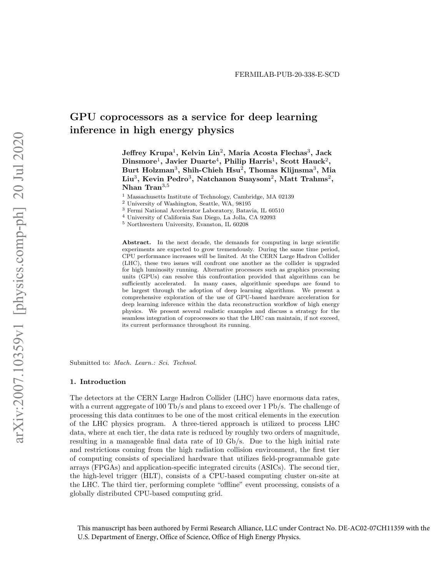# GPU coprocessors as a service for deep learning inference in high energy physics

 ${\rm Jeffrey\ Krupa^1,\ Kelvin\ Lin^2,\ Maria\ Acosta\ Flechas^3,\ Jack}$  $\rm{Dinsmore^1, \: Javier \: Duarte^4, \: Philip \: Harris^1, \: Scott \; Hauck^2,}$ Burt Holzman $^3,$  Shih-Chieh Hsu $^2,$  Thomas Klijnsma $^3,$  Mia  $\rm Liu^3,\, Kevin\,\, Pedro^3,\, Natchanon\,\,Sugson^2,\, Matt\,\, Trans^2,\,$ Nhan Tran<sup>3,5</sup>

<sup>1</sup> Massachusetts Institute of Technology, Cambridge, MA 02139

- <sup>3</sup> Fermi National Accelerator Laboratory, Batavia, IL 60510
- <sup>4</sup> University of California San Diego, La Jolla, CA 92093
- <sup>5</sup> Northwestern University, Evanston, IL 60208

Abstract. In the next decade, the demands for computing in large scientific experiments are expected to grow tremendously. During the same time period, CPU performance increases will be limited. At the CERN Large Hadron Collider (LHC), these two issues will confront one another as the collider is upgraded for high luminosity running. Alternative processors such as graphics processing units (GPUs) can resolve this confrontation provided that algorithms can be sufficiently accelerated. In many cases, algorithmic speedups are found to be largest through the adoption of deep learning algorithms. We present a comprehensive exploration of the use of GPU-based hardware acceleration for deep learning inference within the data reconstruction workflow of high energy physics. We present several realistic examples and discuss a strategy for the seamless integration of coprocessors so that the LHC can maintain, if not exceed, its current performance throughout its running.

Submitted to: Mach. Learn.: Sci. Technol.

# 1. Introduction

The detectors at the CERN Large Hadron Collider (LHC) have enormous data rates, with a current aggregate of 100 Tb/s and plans to exceed over 1 Pb/s. The challenge of processing this data continues to be one of the most critical elements in the execution of the LHC physics program. A three-tiered approach is utilized to process LHC data, where at each tier, the data rate is reduced by roughly two orders of magnitude, resulting in a manageable final data rate of 10 Gb/s. Due to the high initial rate and restrictions coming from the high radiation collision environment, the first tier of computing consists of specialized hardware that utilizes field-programmable gate arrays (FPGAs) and application-specific integrated circuits (ASICs). The second tier, the high-level trigger (HLT), consists of a CPU-based computing cluster on-site at the LHC. The third tier, performing complete "offline" event processing, consists of a globally distributed CPU-based computing grid.

This manuscript has been authored by Fermi Research Alliance, LLC under Contract No. DE-AC02-07CH11359 with the U.S. Department of Energy, Office of Science, Office of High Energy Physics.

<sup>2</sup> University of Washington, Seattle, WA, 98195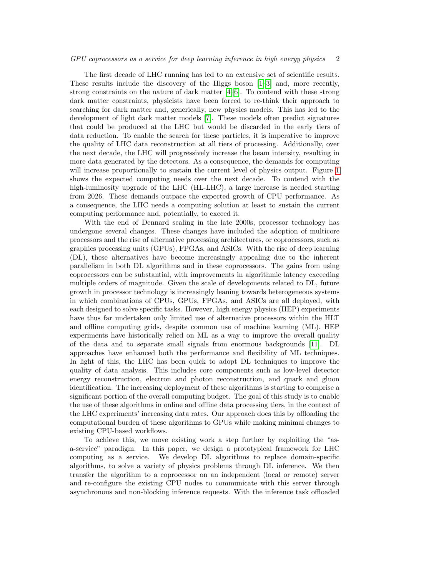### GPU coprocessors as a service for deep learning inference in high energy physics 2

The first decade of LHC running has led to an extensive set of scientific results. These results include the discovery of the Higgs boson [\[1–](#page-20-0)[3\]](#page-20-1) and, more recently, strong constraints on the nature of dark matter [\[4–](#page-20-2)[6\]](#page-20-3). To contend with these strong dark matter constraints, physicists have been forced to re-think their approach to searching for dark matter and, generically, new physics models. This has led to the development of light dark matter models [\[7\]](#page-20-4). These models often predict signatures that could be produced at the LHC but would be discarded in the early tiers of data reduction. To enable the search for these particles, it is imperative to improve the quality of LHC data reconstruction at all tiers of processing. Additionally, over the next decade, the LHC will progressively increase the beam intensity, resulting in more data generated by the detectors. As a consequence, the demands for computing will increase proportionally to sustain the current level of physics output. Figure [1](#page-2-0) shows the expected computing needs over the next decade. To contend with the high-luminosity upgrade of the LHC (HL-LHC), a large increase is needed starting from 2026. These demands outpace the expected growth of CPU performance. As a consequence, the LHC needs a computing solution at least to sustain the current computing performance and, potentially, to exceed it.

With the end of Dennard scaling in the late 2000s, processor technology has undergone several changes. These changes have included the adoption of multicore processors and the rise of alternative processing architectures, or coprocessors, such as graphics processing units (GPUs), FPGAs, and ASICs. With the rise of deep learning (DL), these alternatives have become increasingly appealing due to the inherent parallelism in both DL algorithms and in these coprocessors. The gains from using coprocessors can be substantial, with improvements in algorithmic latency exceeding multiple orders of magnitude. Given the scale of developments related to DL, future growth in processor technology is increasingly leaning towards heterogeneous systems in which combinations of CPUs, GPUs, FPGAs, and ASICs are all deployed, with each designed to solve specific tasks. However, high energy physics (HEP) experiments have thus far undertaken only limited use of alternative processors within the HLT and offline computing grids, despite common use of machine learning (ML). HEP experiments have historically relied on ML as a way to improve the overall quality of the data and to separate small signals from enormous backgrounds [\[11\]](#page-20-5). DL approaches have enhanced both the performance and flexibility of ML techniques. In light of this, the LHC has been quick to adopt DL techniques to improve the quality of data analysis. This includes core components such as low-level detector energy reconstruction, electron and photon reconstruction, and quark and gluon identification. The increasing deployment of these algorithms is starting to comprise a significant portion of the overall computing budget. The goal of this study is to enable the use of these algorithms in online and offline data processing tiers, in the context of the LHC experiments' increasing data rates. Our approach does this by offloading the computational burden of these algorithms to GPUs while making minimal changes to existing CPU-based workflows.

To achieve this, we move existing work a step further by exploiting the "asa-service" paradigm. In this paper, we design a prototypical framework for LHC computing as a service. We develop DL algorithms to replace domain-specific algorithms, to solve a variety of physics problems through DL inference. We then transfer the algorithm to a coprocessor on an independent (local or remote) server and re-configure the existing CPU nodes to communicate with this server through asynchronous and non-blocking inference requests. With the inference task offloaded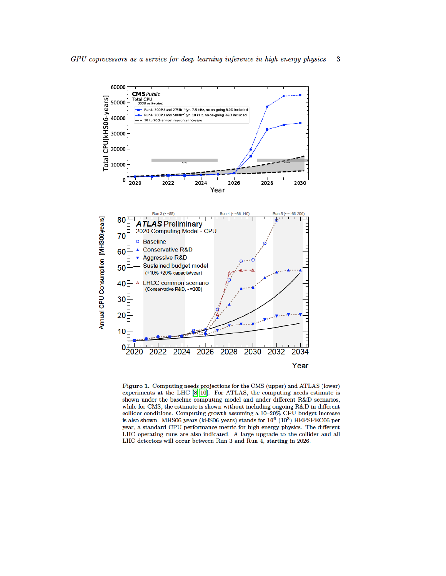

<span id="page-2-0"></span>Figure 1. Computing needs projections for the CMS (upper) and ATLAS (lower) experiments at the LHC [8-10]. For ATLAS, the computing needs estimate is shown under the baseline computing model and under different R&D scenarios, while for CMS, the estimate is shown without including ongoing R&D in different collider conditions. Computing growth assuming a 10-20% CPU budget increase is also shown. MHS06-years (kHS06-years) stands for  $10^6$  ( $10^3$ ) HEPSPEC06 per year, a standard CPU performance metric for high energy physics. The different LHC operating runs are also indicated. A large upgrade to the collider and all LHC detectors will occur between Run 3 and Run 4, starting in 2026.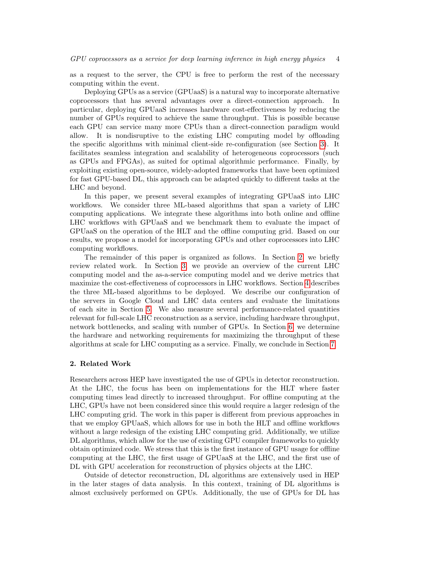as a request to the server, the CPU is free to perform the rest of the necessary computing within the event.

Deploying GPUs as a service (GPUaaS) is a natural way to incorporate alternative coprocessors that has several advantages over a direct-connection approach. In particular, deploying GPUaaS increases hardware cost-effectiveness by reducing the number of GPUs required to achieve the same throughput. This is possible because each GPU can service many more CPUs than a direct-connection paradigm would allow. It is nondisruptive to the existing LHC computing model by offloading the specific algorithms with minimal client-side re-configuration (see Section [3\)](#page-4-0). It facilitates seamless integration and scalability of heterogeneous coprocessors (such as GPUs and FPGAs), as suited for optimal algorithmic performance. Finally, by exploiting existing open-source, widely-adopted frameworks that have been optimized for fast GPU-based DL, this approach can be adapted quickly to different tasks at the LHC and beyond.

In this paper, we present several examples of integrating GPUaaS into LHC workflows. We consider three ML-based algorithms that span a variety of LHC computing applications. We integrate these algorithms into both online and offline LHC workflows with GPUaaS and we benchmark them to evaluate the impact of GPUaaS on the operation of the HLT and the offline computing grid. Based on our results, we propose a model for incorporating GPUs and other coprocessors into LHC computing workflows.

The remainder of this paper is organized as follows. In Section [2,](#page-3-0) we briefly review related work. In Section [3,](#page-4-0) we provide an overview of the current LHC computing model and the as-a-service computing model and we derive metrics that maximize the cost-effectiveness of coprocessors in LHC workflows. Section [4](#page-7-0) describes the three ML-based algorithms to be deployed. We describe our configuration of the servers in Google Cloud and LHC data centers and evaluate the limitations of each site in Section [5.](#page-9-0) We also measure several performance-related quantities relevant for full-scale LHC reconstruction as a service, including hardware throughput, network bottlenecks, and scaling with number of GPUs. In Section [6,](#page-17-0) we determine the hardware and networking requirements for maximizing the throughput of these algorithms at scale for LHC computing as a service. Finally, we conclude in Section [7.](#page-18-0)

## <span id="page-3-0"></span>2. Related Work

Researchers across HEP have investigated the use of GPUs in detector reconstruction. At the LHC, the focus has been on implementations for the HLT where faster computing times lead directly to increased throughput. For offline computing at the LHC, GPUs have not been considered since this would require a larger redesign of the LHC computing grid. The work in this paper is different from previous approaches in that we employ GPUaaS, which allows for use in both the HLT and offline workflows without a large redesign of the existing LHC computing grid. Additionally, we utilize DL algorithms, which allow for the use of existing GPU compiler frameworks to quickly obtain optimized code. We stress that this is the first instance of GPU usage for offline computing at the LHC, the first usage of GPUaaS at the LHC, and the first use of DL with GPU acceleration for reconstruction of physics objects at the LHC.

Outside of detector reconstruction, DL algorithms are extensively used in HEP in the later stages of data analysis. In this context, training of DL algorithms is almost exclusively performed on GPUs. Additionally, the use of GPUs for DL has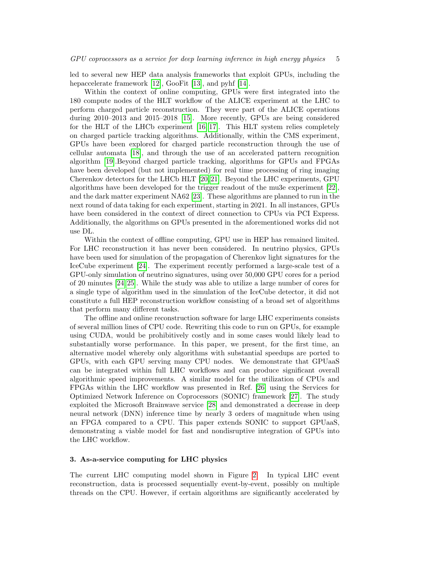led to several new HEP data analysis frameworks that exploit GPUs, including the hepaccelerate framework [\[12\]](#page-20-8), GooFit [\[13\]](#page-20-9), and pyhf [\[14\]](#page-20-10).

Within the context of online computing, GPUs were first integrated into the 180 compute nodes of the HLT workflow of the ALICE experiment at the LHC to perform charged particle reconstruction. They were part of the ALICE operations during 2010–2013 and 2015–2018 [\[15\]](#page-20-11). More recently, GPUs are being considered for the HLT of the LHCb experiment [\[16,](#page-21-0) [17\]](#page-21-1). This HLT system relies completely on charged particle tracking algorithms. Additionally, within the CMS experiment, GPUs have been explored for charged particle reconstruction through the use of cellular automata [\[18\]](#page-21-2), and through the use of an accelerated pattern recognition algorithm [\[19\]](#page-21-3).Beyond charged particle tracking, algorithms for GPUs and FPGAs have been developed (but not implemented) for real time processing of ring imaging Cherenkov detectors for the LHCb HLT [\[20,](#page-21-4) [21\]](#page-21-5). Beyond the LHC experiments, GPU algorithms have been developed for the trigger readout of the mu3e experiment [\[22\]](#page-21-6), and the dark matter experiment NA62 [\[23\]](#page-21-7). These algorithms are planned to run in the next round of data taking for each experiment, starting in 2021. In all instances, GPUs have been considered in the context of direct connection to CPUs via PCI Express. Additionally, the algorithms on GPUs presented in the aforementioned works did not use DL.

Within the context of offline computing, GPU use in HEP has remained limited. For LHC reconstruction it has never been considered. In neutrino physics, GPUs have been used for simulation of the propagation of Cherenkov light signatures for the IceCube experiment [\[24\]](#page-21-8). The experiment recently performed a large-scale test of a GPU-only simulation of neutrino signatures, using over 50,000 GPU cores for a period of 20 minutes [\[24,](#page-21-8) [25\]](#page-21-9). While the study was able to utilize a large number of cores for a single type of algorithm used in the simulation of the IceCube detector, it did not constitute a full HEP reconstruction workflow consisting of a broad set of algorithms that perform many different tasks.

The offline and online reconstruction software for large LHC experiments consists of several million lines of CPU code. Rewriting this code to run on GPUs, for example using CUDA, would be prohibitively costly and in some cases would likely lead to substantially worse performance. In this paper, we present, for the first time, an alternative model whereby only algorithms with substantial speedups are ported to GPUs, with each GPU serving many CPU nodes. We demonstrate that GPUaaS can be integrated within full LHC workflows and can produce significant overall algorithmic speed improvements. A similar model for the utilization of CPUs and FPGAs within the LHC workflow was presented in Ref. [\[26\]](#page-21-10) using the Services for Optimized Network Inference on Coprocessors (SONIC) framework [\[27\]](#page-21-11). The study exploited the Microsoft Brainwave service [\[28\]](#page-21-12) and demonstrated a decrease in deep neural network (DNN) inference time by nearly 3 orders of magnitude when using an FPGA compared to a CPU. This paper extends SONIC to support GPUaaS, demonstrating a viable model for fast and nondisruptive integration of GPUs into the LHC workflow.

# <span id="page-4-0"></span>3. As-a-service computing for LHC physics

The current LHC computing model shown in Figure [2.](#page-5-0) In typical LHC event reconstruction, data is processed sequentially event-by-event, possibly on multiple threads on the CPU. However, if certain algorithms are significantly accelerated by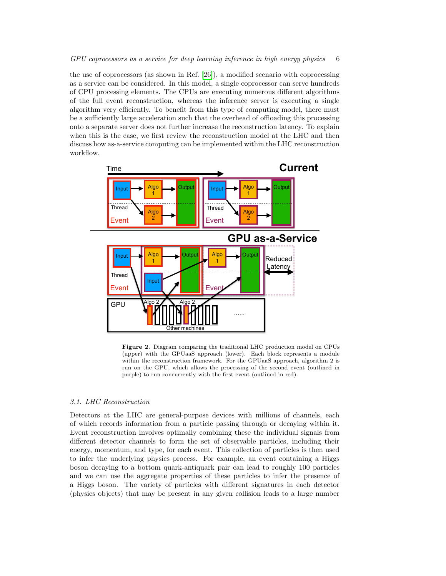the use of coprocessors (as shown in Ref. [\[26\]](#page-21-10)), a modified scenario with coprocessing as a service can be considered. In this model, a single coprocessor can serve hundreds of CPU processing elements. The CPUs are executing numerous different algorithms of the full event reconstruction, whereas the inference server is executing a single algorithm very efficiently. To benefit from this type of computing model, there must be a sufficiently large acceleration such that the overhead of offloading this processing onto a separate server does not further increase the reconstruction latency. To explain when this is the case, we first review the reconstruction model at the LHC and then discuss how as-a-service computing can be implemented within the LHC reconstruction workflow.



<span id="page-5-0"></span>Figure 2. Diagram comparing the traditional LHC production model on CPUs (upper) with the GPUaaS approach (lower). Each block represents a module within the reconstruction framework. For the GPUaaS approach, algorithm 2 is run on the GPU, which allows the processing of the second event (outlined in purple) to run concurrently with the first event (outlined in red).

## 3.1. LHC Reconstruction

Detectors at the LHC are general-purpose devices with millions of channels, each of which records information from a particle passing through or decaying within it. Event reconstruction involves optimally combining these the individual signals from different detector channels to form the set of observable particles, including their energy, momentum, and type, for each event. This collection of particles is then used to infer the underlying physics process. For example, an event containing a Higgs boson decaying to a bottom quark-antiquark pair can lead to roughly 100 particles and we can use the aggregate properties of these particles to infer the presence of a Higgs boson. The variety of particles with different signatures in each detector (physics objects) that may be present in any given collision leads to a large number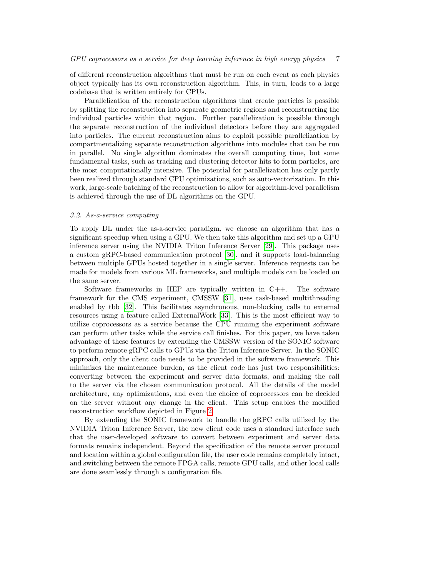of different reconstruction algorithms that must be run on each event as each physics object typically has its own reconstruction algorithm. This, in turn, leads to a large codebase that is written entirely for CPUs.

Parallelization of the reconstruction algorithms that create particles is possible by splitting the reconstruction into separate geometric regions and reconstructing the individual particles within that region. Further parallelization is possible through the separate reconstruction of the individual detectors before they are aggregated into particles. The current reconstruction aims to exploit possible parallelization by compartmentalizing separate reconstruction algorithms into modules that can be run in parallel. No single algorithm dominates the overall computing time, but some fundamental tasks, such as tracking and clustering detector hits to form particles, are the most computationally intensive. The potential for parallelization has only partly been realized through standard CPU optimizations, such as auto-vectorization. In this work, large-scale batching of the reconstruction to allow for algorithm-level parallelism is achieved through the use of DL algorithms on the GPU.

# 3.2. As-a-service computing

To apply DL under the as-a-service paradigm, we choose an algorithm that has a significant speedup when using a GPU. We then take this algorithm and set up a GPU inference server using the NVIDIA Triton Inference Server [\[29\]](#page-21-13). This package uses a custom gRPC-based communication protocol [\[30\]](#page-21-14), and it supports load-balancing between multiple GPUs hosted together in a single server. Inference requests can be made for models from various ML frameworks, and multiple models can be loaded on the same server.

Software frameworks in HEP are typically written in  $C_{++}$ . The software framework for the CMS experiment, CMSSW [\[31\]](#page-21-15), uses task-based multithreading enabled by tbb [\[32\]](#page-21-16). This facilitates asynchronous, non-blocking calls to external resources using a feature called ExternalWork [\[33\]](#page-21-17). This is the most efficient way to utilize coprocessors as a service because the CPU running the experiment software can perform other tasks while the service call finishes. For this paper, we have taken advantage of these features by extending the CMSSW version of the SONIC software to perform remote gRPC calls to GPUs via the Triton Inference Server. In the SONIC approach, only the client code needs to be provided in the software framework. This minimizes the maintenance burden, as the client code has just two responsibilities: converting between the experiment and server data formats, and making the call to the server via the chosen communication protocol. All the details of the model architecture, any optimizations, and even the choice of coprocessors can be decided on the server without any change in the client. This setup enables the modified reconstruction workflow depicted in Figure [2.](#page-5-0)

By extending the SONIC framework to handle the gRPC calls utilized by the NVIDIA Triton Inference Server, the new client code uses a standard interface such that the user-developed software to convert between experiment and server data formats remains independent. Beyond the specification of the remote server protocol and location within a global configuration file, the user code remains completely intact, and switching between the remote FPGA calls, remote GPU calls, and other local calls are done seamlessly through a configuration file.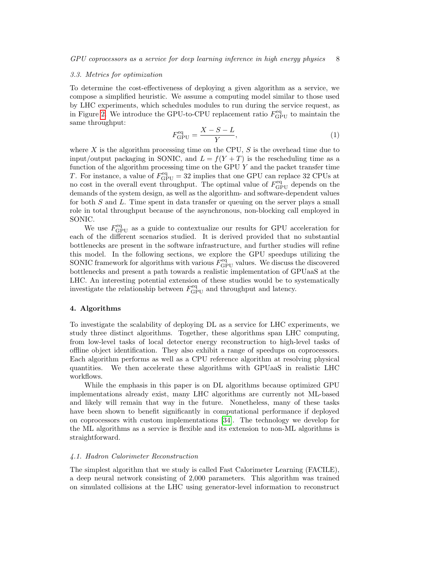#### 3.3. Metrics for optimization

To determine the cost-effectiveness of deploying a given algorithm as a service, we compose a simplified heuristic. We assume a computing model similar to those used by LHC experiments, which schedules modules to run during the service request, as in Figure [2.](#page-5-0) We introduce the GPU-to-CPU replacement ratio  $F_{\text{GPU}}^{\text{eq}}$  to maintain the same throughput:

$$
F_{\rm GPU}^{\rm eq} = \frac{X - S - L}{Y},\tag{1}
$$

where X is the algorithm processing time on the CPU,  $S$  is the overhead time due to input/output packaging in SONIC, and  $L = f(Y + T)$  is the rescheduling time as a function of the algorithm processing time on the GPU  $Y$  and the packet transfer time T. For instance, a value of  $F_{\text{GPU}}^{\text{eq}} = 32$  implies that one GPU can replace 32 CPUs at no cost in the overall event throughput. The optimal value of  $F_{\text{GPU}}^{\text{eq}}$  depends on the demands of the system design, as well as the algorithm- and software-dependent values for both S and L. Time spent in data transfer or queuing on the server plays a small role in total throughput because of the asynchronous, non-blocking call employed in SONIC.

We use  $F_{\text{GPU}}^{\text{eq}}$  as a guide to contextualize our results for GPU acceleration for each of the different scenarios studied. It is derived provided that no substantial bottlenecks are present in the software infrastructure, and further studies will refine this model. In the following sections, we explore the GPU speedups utilizing the SONIC framework for algorithms with various  $F_{\text{GPU}}^{\text{eq}}$  values. We discuss the discovered bottlenecks and present a path towards a realistic implementation of GPUaaS at the LHC. An interesting potential extension of these studies would be to systematically investigate the relationship between  $F_{\text{GPU}}^{\text{eq}}$  and throughput and latency.

# <span id="page-7-0"></span>4. Algorithms

To investigate the scalability of deploying DL as a service for LHC experiments, we study three distinct algorithms. Together, these algorithms span LHC computing, from low-level tasks of local detector energy reconstruction to high-level tasks of offline object identification. They also exhibit a range of speedups on coprocessors. Each algorithm performs as well as a CPU reference algorithm at resolving physical quantities. We then accelerate these algorithms with GPUaaS in realistic LHC workflows.

While the emphasis in this paper is on DL algorithms because optimized GPU implementations already exist, many LHC algorithms are currently not ML-based and likely will remain that way in the future. Nonetheless, many of these tasks have been shown to benefit significantly in computational performance if deployed on coprocessors with custom implementations [\[34\]](#page-21-18). The technology we develop for the ML algorithms as a service is flexible and its extension to non-ML algorithms is straightforward.

#### 4.1. Hadron Calorimeter Reconstruction

The simplest algorithm that we study is called Fast Calorimeter Learning (FACILE), a deep neural network consisting of 2,000 parameters. This algorithm was trained on simulated collisions at the LHC using generator-level information to reconstruct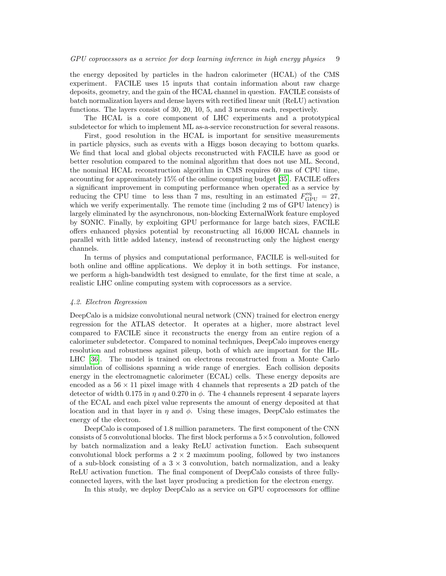the energy deposited by particles in the hadron calorimeter (HCAL) of the CMS experiment. FACILE uses 15 inputs that contain information about raw charge deposits, geometry, and the gain of the HCAL channel in question. FACILE consists of batch normalization layers and dense layers with rectified linear unit (ReLU) activation functions. The layers consist of 30, 20, 10, 5, and 3 neurons each, respectively.

The HCAL is a core component of LHC experiments and a prototypical subdetector for which to implement ML as-a-service reconstruction for several reasons.

First, good resolution in the HCAL is important for sensitive measurements in particle physics, such as events with a Higgs boson decaying to bottom quarks. We find that local and global objects reconstructed with FACILE have as good or better resolution compared to the nominal algorithm that does not use ML. Second, the nominal HCAL reconstruction algorithm in CMS requires 60 ms of CPU time, accounting for approximately 15% of the online computing budget [\[35\]](#page-21-19). FACILE offers a significant improvement in computing performance when operated as a service by reducing the CPU time to less than 7 ms, resulting in an estimated  $F_{\text{GPU}}^{\text{eq}} = 27$ , which we verify experimentally. The remote time (including 2 ms of GPU latency) is largely eliminated by the asynchronous, non-blocking ExternalWork feature employed by SONIC. Finally, by exploiting GPU performance for large batch sizes, FACILE offers enhanced physics potential by reconstructing all 16,000 HCAL channels in parallel with little added latency, instead of reconstructing only the highest energy channels.

In terms of physics and computational performance, FACILE is well-suited for both online and offline applications. We deploy it in both settings. For instance, we perform a high-bandwidth test designed to emulate, for the first time at scale, a realistic LHC online computing system with coprocessors as a service.

#### 4.2. Electron Regression

DeepCalo is a midsize convolutional neural network (CNN) trained for electron energy regression for the ATLAS detector. It operates at a higher, more abstract level compared to FACILE since it reconstructs the energy from an entire region of a calorimeter subdetector. Compared to nominal techniques, DeepCalo improves energy resolution and robustness against pileup, both of which are important for the HL-LHC [\[36\]](#page-21-20). The model is trained on electrons reconstructed from a Monte Carlo simulation of collisions spanning a wide range of energies. Each collision deposits energy in the electromagnetic calorimeter (ECAL) cells. These energy deposits are encoded as a  $56 \times 11$  pixel image with 4 channels that represents a 2D patch of the detector of width 0.175 in  $\eta$  and 0.270 in  $\phi$ . The 4 channels represent 4 separate layers of the ECAL and each pixel value represents the amount of energy deposited at that location and in that layer in  $\eta$  and  $\phi$ . Using these images, DeepCalo estimates the energy of the electron.

DeepCalo is composed of 1.8 million parameters. The first component of the CNN consists of 5 convolutional blocks. The first block performs a  $5\times 5$  convolution, followed by batch normalization and a leaky ReLU activation function. Each subsequent convolutional block performs a  $2 \times 2$  maximum pooling, followed by two instances of a sub-block consisting of a  $3 \times 3$  convolution, batch normalization, and a leaky ReLU activation function. The final component of DeepCalo consists of three fullyconnected layers, with the last layer producing a prediction for the electron energy.

In this study, we deploy DeepCalo as a service on GPU coprocessors for offline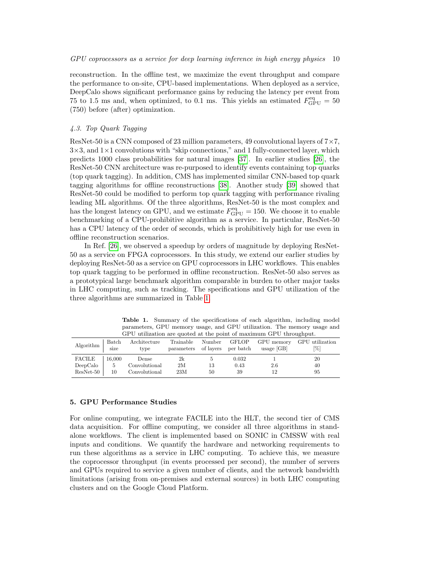reconstruction. In the offline test, we maximize the event throughput and compare the performance to on-site, CPU-based implementations. When deployed as a service, DeepCalo shows significant performance gains by reducing the latency per event from 75 to 1.5 ms and, when optimized, to 0.1 ms. This yields an estimated  $F_{\text{GPU}}^{\text{eq}} = 50$ (750) before (after) optimization.

# 4.3. Top Quark Tagging

ResNet-50 is a CNN composed of 23 million parameters, 49 convolutional layers of  $7\times7$ ,  $3\times3$ , and  $1\times1$  convolutions with "skip connections," and 1 fully-connected layer, which predicts 1000 class probabilities for natural images [\[37\]](#page-21-21). In earlier studies [\[26\]](#page-21-10), the ResNet-50 CNN architecture was re-purposed to identify events containing top quarks (top quark tagging). In addition, CMS has implemented similar CNN-based top quark tagging algorithms for offline reconstructions [\[38\]](#page-21-22). Another study [\[39\]](#page-22-0) showed that ResNet-50 could be modified to perform top quark tagging with performance rivaling leading ML algorithms. Of the three algorithms, ResNet-50 is the most complex and has the longest latency on GPU, and we estimate  $F_{\text{GPU}}^{\text{eq}} = 150$ . We choose it to enable benchmarking of a CPU-prohibitive algorithm as a service. In particular, ResNet-50 has a CPU latency of the order of seconds, which is prohibitively high for use even in offline reconstruction scenarios.

In Ref. [\[26\]](#page-21-10), we observed a speedup by orders of magnitude by deploying ResNet-50 as a service on FPGA coprocessors. In this study, we extend our earlier studies by deploying ResNet-50 as a service on GPU coprocessors in LHC workflows. This enables top quark tagging to be performed in offline reconstruction. ResNet-50 also serves as a prototypical large benchmark algorithm comparable in burden to other major tasks in LHC computing, such as tracking. The specifications and GPU utilization of the three algorithms are summarized in Table [1.](#page-9-1)

| GPU utilization are quoted at the point of maximum GPU throughput. |        |                      |                                             |    |              |                            |                        |  |
|--------------------------------------------------------------------|--------|----------------------|---------------------------------------------|----|--------------|----------------------------|------------------------|--|
| Algorithm $\Big  \frac{\Delta}{\text{size}}$                       | Batch  | Architecture<br>type | Trainable<br>parameters of layers per batch |    | Number GFLOP | GPU memory<br>usage $[GB]$ | GPU utilization<br>[%] |  |
| FACILE                                                             | 16.000 | Dense                | 2k                                          |    | 0.032        |                            | 20                     |  |
| DeepCalc                                                           | .5     | Convolutional        | 2M                                          | 13 | 0.43         | 2.6                        | 40                     |  |
|                                                                    |        |                      |                                             |    |              |                            |                        |  |

<span id="page-9-1"></span>Table 1. Summary of the specifications of each algorithm, including model parameters, GPU memory usage, and GPU utilization. The memory usage and

#### <span id="page-9-0"></span>5. GPU Performance Studies

For online computing, we integrate FACILE into the HLT, the second tier of CMS data acquisition. For offline computing, we consider all three algorithms in standalone workflows. The client is implemented based on SONIC in CMSSW with real inputs and conditions. We quantify the hardware and networking requirements to run these algorithms as a service in LHC computing. To achieve this, we measure the coprocessor throughput (in events processed per second), the number of servers and GPUs required to service a given number of clients, and the network bandwidth limitations (arising from on-premises and external sources) in both LHC computing clusters and on the Google Cloud Platform.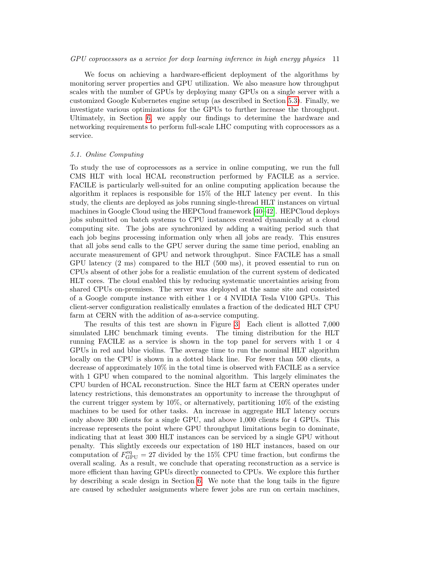We focus on achieving a hardware-efficient deployment of the algorithms by monitoring server properties and GPU utilization. We also measure how throughput scales with the number of GPUs by deploying many GPUs on a single server with a customized Google Kubernetes engine setup (as described in Section [5.3\)](#page-15-0). Finally, we investigate various optimizations for the GPUs to further increase the throughput. Ultimately, in Section [6,](#page-17-0) we apply our findings to determine the hardware and networking requirements to perform full-scale LHC computing with coprocessors as a service.

## 5.1. Online Computing

To study the use of coprocessors as a service in online computing, we run the full CMS HLT with local HCAL reconstruction performed by FACILE as a service. FACILE is particularly well-suited for an online computing application because the algorithm it replaces is responsible for 15% of the HLT latency per event. In this study, the clients are deployed as jobs running single-thread HLT instances on virtual machines in Google Cloud using the HEPCloud framework [\[40](#page-22-1)[–42\]](#page-22-2). HEPCloud deploys jobs submitted on batch systems to CPU instances created dynamically at a cloud computing site. The jobs are synchronized by adding a waiting period such that each job begins processing information only when all jobs are ready. This ensures that all jobs send calls to the GPU server during the same time period, enabling an accurate measurement of GPU and network throughput. Since FACILE has a small GPU latency (2 ms) compared to the HLT (500 ms), it proved essential to run on CPUs absent of other jobs for a realistic emulation of the current system of dedicated HLT cores. The cloud enabled this by reducing systematic uncertainties arising from shared CPUs on-premises. The server was deployed at the same site and consisted of a Google compute instance with either 1 or 4 NVIDIA Tesla V100 GPUs. This client-server configuration realistically emulates a fraction of the dedicated HLT CPU farm at CERN with the addition of as-a-service computing.

The results of this test are shown in Figure [3.](#page-11-0) Each client is allotted 7,000 simulated LHC benchmark timing events. The timing distribution for the HLT running FACILE as a service is shown in the top panel for servers with 1 or 4 GPUs in red and blue violins. The average time to run the nominal HLT algorithm locally on the CPU is shown in a dotted black line. For fewer than 500 clients, a decrease of approximately 10% in the total time is observed with FACILE as a service with 1 GPU when compared to the nominal algorithm. This largely eliminates the CPU burden of HCAL reconstruction. Since the HLT farm at CERN operates under latency restrictions, this demonstrates an opportunity to increase the throughput of the current trigger system by 10%, or alternatively, partitioning 10% of the existing machines to be used for other tasks. An increase in aggregate HLT latency occurs only above 300 clients for a single GPU, and above 1,000 clients for 4 GPUs. This increase represents the point where GPU throughput limitations begin to dominate, indicating that at least 300 HLT instances can be serviced by a single GPU without penalty. This slightly exceeds our expectation of 180 HLT instances, based on our computation of  $\vec{F}_{\text{GPU}}^{\text{eq}} = 27$  divided by the 15% CPU time fraction, but confirms the overall scaling. As a result, we conclude that operating reconstruction as a service is more efficient than having GPUs directly connected to CPUs. We explore this further by describing a scale design in Section [6.](#page-17-0) We note that the long tails in the figure are caused by scheduler assignments where fewer jobs are run on certain machines,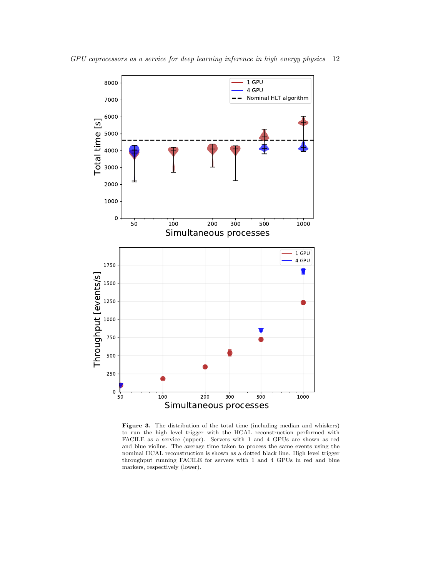

<span id="page-11-0"></span>Figure 3. The distribution of the total time (including median and whiskers) to run the high level trigger with the HCAL reconstruction performed with FACILE as a service (upper). Servers with 1 and 4 GPUs are shown as red and blue violins. The average time taken to process the same events using the nominal HCAL reconstruction is shown as a dotted black line. High level trigger throughput running FACILE for servers with 1 and 4 GPUs in red and blue markers, respectively (lower).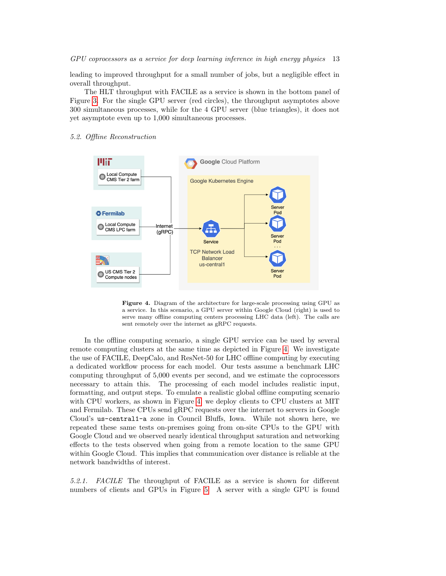leading to improved throughput for a small number of jobs, but a negligible effect in overall throughput.

The HLT throughput with FACILE as a service is shown in the bottom panel of Figure [3.](#page-11-0) For the single GPU server (red circles), the throughput asymptotes above 300 simultaneous processes, while for the 4 GPU server (blue triangles), it does not yet asymptote even up to 1,000 simultaneous processes.

# 5.2. Offline Reconstruction



<span id="page-12-0"></span>Figure 4. Diagram of the architecture for large-scale processing using GPU as a service. In this scenario, a GPU server within Google Cloud (right) is used to serve many offline computing centers processing LHC data (left). The calls are sent remotely over the internet as gRPC requests.

In the offline computing scenario, a single GPU service can be used by several remote computing clusters at the same time as depicted in Figure [4.](#page-12-0) We investigate the use of FACILE, DeepCalo, and ResNet-50 for LHC offline computing by executing a dedicated workflow process for each model. Our tests assume a benchmark LHC computing throughput of 5,000 events per second, and we estimate the coprocessors necessary to attain this. The processing of each model includes realistic input, formatting, and output steps. To emulate a realistic global offline computing scenario with CPU workers, as shown in Figure [4,](#page-12-0) we deploy clients to CPU clusters at MIT and Fermilab. These CPUs send gRPC requests over the internet to servers in Google Cloud's us-central1-a zone in Council Bluffs, Iowa. While not shown here, we repeated these same tests on-premises going from on-site CPUs to the GPU with Google Cloud and we observed nearly identical throughput saturation and networking effects to the tests observed when going from a remote location to the same GPU within Google Cloud. This implies that communication over distance is reliable at the network bandwidths of interest.

5.2.1. FACILE The throughput of FACILE as a service is shown for different numbers of clients and GPUs in Figure [5.](#page-13-0) A server with a single GPU is found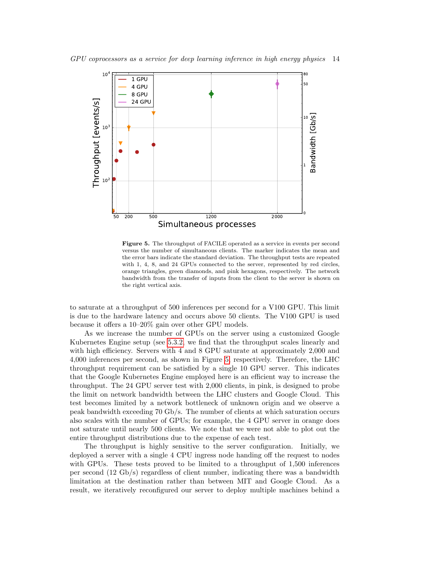

<span id="page-13-0"></span>Figure 5. The throughput of FACILE operated as a service in events per second versus the number of simultaneous clients. The marker indicates the mean and the error bars indicate the standard deviation. The throughput tests are repeated with 1, 4, 8, and 24 GPUs connected to the server, represented by red circles, orange triangles, green diamonds, and pink hexagons, respectively. The network bandwidth from the transfer of inputs from the client to the server is shown on the right vertical axis.

to saturate at a throughput of 500 inferences per second for a V100 GPU. This limit is due to the hardware latency and occurs above 50 clients. The V100 GPU is used because it offers a 10–20% gain over other GPU models.

As we increase the number of GPUs on the server using a customized Google Kubernetes Engine setup (see [5.3.2,](#page-16-0) we find that the throughput scales linearly and with high efficiency. Servers with 4 and 8 GPU saturate at approximately 2,000 and 4,000 inferences per second, as shown in Figure [5,](#page-13-0) respectively. Therefore, the LHC throughput requirement can be satisfied by a single 10 GPU server. This indicates that the Google Kubernetes Engine employed here is an efficient way to increase the throughput. The 24 GPU server test with 2,000 clients, in pink, is designed to probe the limit on network bandwidth between the LHC clusters and Google Cloud. This test becomes limited by a network bottleneck of unknown origin and we observe a peak bandwidth exceeding 70 Gb/s. The number of clients at which saturation occurs also scales with the number of GPUs; for example, the 4 GPU server in orange does not saturate until nearly 500 clients. We note that we were not able to plot out the entire throughput distributions due to the expense of each test.

The throughput is highly sensitive to the server configuration. Initially, we deployed a server with a single 4 CPU ingress node handing off the request to nodes with GPUs. These tests proved to be limited to a throughput of 1,500 inferences per second (12 Gb/s) regardless of client number, indicating there was a bandwidth limitation at the destination rather than between MIT and Google Cloud. As a result, we iteratively reconfigured our server to deploy multiple machines behind a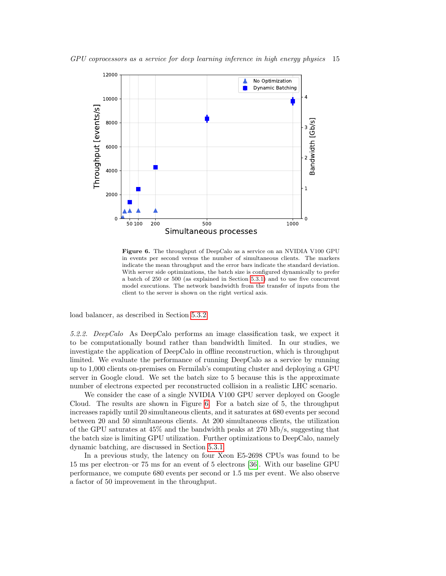

<span id="page-14-0"></span>Figure 6. The throughput of DeepCalo as a service on an NVIDIA V100 GPU in events per second versus the number of simultaneous clients. The markers indicate the mean throughput and the error bars indicate the standard deviation. With server side optimizations, the batch size is configured dynamically to prefer a batch of 250 or 500 (as explained in Section [5.3.1\)](#page-15-1) and to use five concurrent model executions. The network bandwidth from the transfer of inputs from the client to the server is shown on the right vertical axis.

load balancer, as described in Section [5.3.2.](#page-16-0)

5.2.2. DeepCalo As DeepCalo performs an image classification task, we expect it to be computationally bound rather than bandwidth limited. In our studies, we investigate the application of DeepCalo in offline reconstruction, which is throughput limited. We evaluate the performance of running DeepCalo as a service by running up to 1,000 clients on-premises on Fermilab's computing cluster and deploying a GPU server in Google cloud. We set the batch size to 5 because this is the approximate number of electrons expected per reconstructed collision in a realistic LHC scenario.

We consider the case of a single NVIDIA V100 GPU server deployed on Google Cloud. The results are shown in Figure [6.](#page-14-0) For a batch size of 5, the throughput increases rapidly until 20 simultaneous clients, and it saturates at 680 events per second between 20 and 50 simultaneous clients. At 200 simultaneous clients, the utilization of the GPU saturates at 45% and the bandwidth peaks at 270 Mb/s, suggesting that the batch size is limiting GPU utilization. Further optimizations to DeepCalo, namely dynamic batching, are discussed in Section [5.3.1.](#page-15-1)

In a previous study, the latency on four Xeon E5-2698 CPUs was found to be 15 ms per electron–or 75 ms for an event of 5 electrons [\[36\]](#page-21-20). With our baseline GPU performance, we compute 680 events per second or 1.5 ms per event. We also observe a factor of 50 improvement in the throughput.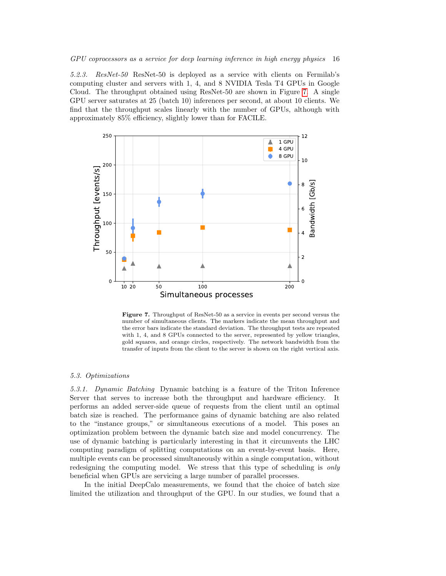5.2.3. ResNet-50 ResNet-50 is deployed as a service with clients on Fermilab's computing cluster and servers with 1, 4, and 8 NVIDIA Tesla T4 GPUs in Google Cloud. The throughput obtained using ResNet-50 are shown in Figure [7.](#page-15-2) A single GPU server saturates at 25 (batch 10) inferences per second, at about 10 clients. We find that the throughput scales linearly with the number of GPUs, although with approximately 85% efficiency, slightly lower than for FACILE.



<span id="page-15-2"></span>Figure 7. Throughput of ResNet-50 as a service in events per second versus the number of simultaneous clients. The markers indicate the mean throughput and the error bars indicate the standard deviation. The throughput tests are repeated with 1, 4, and 8 GPUs connected to the server, represented by yellow triangles, gold squares, and orange circles, respectively. The network bandwidth from the transfer of inputs from the client to the server is shown on the right vertical axis.

## <span id="page-15-0"></span>5.3. Optimizations

<span id="page-15-1"></span>5.3.1. Dynamic Batching Dynamic batching is a feature of the Triton Inference Server that serves to increase both the throughput and hardware efficiency. It performs an added server-side queue of requests from the client until an optimal batch size is reached. The performance gains of dynamic batching are also related to the "instance groups," or simultaneous executions of a model. This poses an optimization problem between the dynamic batch size and model concurrency. The use of dynamic batching is particularly interesting in that it circumvents the LHC computing paradigm of splitting computations on an event-by-event basis. Here, multiple events can be processed simultaneously within a single computation, without redesigning the computing model. We stress that this type of scheduling is only beneficial when GPUs are servicing a large number of parallel processes.

In the initial DeepCalo measurements, we found that the choice of batch size limited the utilization and throughput of the GPU. In our studies, we found that a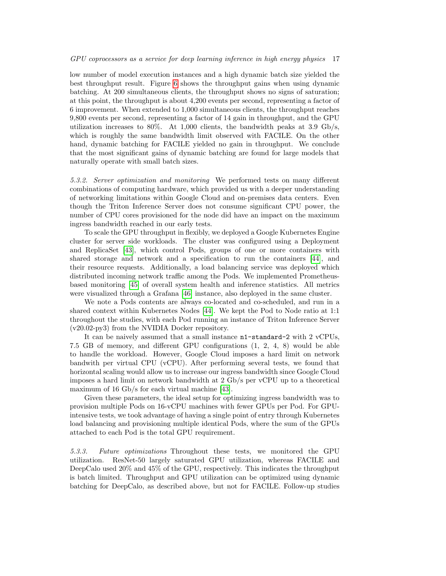low number of model execution instances and a high dynamic batch size yielded the best throughput result. Figure [6](#page-14-0) shows the throughput gains when using dynamic batching. At 200 simultaneous clients, the throughput shows no signs of saturation; at this point, the throughput is about 4,200 events per second, representing a factor of 6 improvement. When extended to 1,000 simultaneous clients, the throughput reaches 9,800 events per second, representing a factor of 14 gain in throughput, and the GPU utilization increases to  $80\%$ . At 1,000 clients, the bandwidth peaks at 3.9 Gb/s, which is roughly the same bandwidth limit observed with FACILE. On the other hand, dynamic batching for FACILE yielded no gain in throughput. We conclude that the most significant gains of dynamic batching are found for large models that naturally operate with small batch sizes.

<span id="page-16-0"></span>5.3.2. Server optimization and monitoring We performed tests on many different combinations of computing hardware, which provided us with a deeper understanding of networking limitations within Google Cloud and on-premises data centers. Even though the Triton Inference Server does not consume significant CPU power, the number of CPU cores provisioned for the node did have an impact on the maximum ingress bandwidth reached in our early tests.

To scale the GPU throughput in flexibly, we deployed a Google Kubernetes Engine cluster for server side workloads. The cluster was configured using a Deployment and ReplicaSet [\[43\]](#page-22-3), which control Pods, groups of one or more containers with shared storage and network and a specification to run the containers [\[44\]](#page-22-4), and their resource requests. Additionally, a load balancing service was deployed which distributed incoming network traffic among the Pods. We implemented Prometheusbased monitoring [\[45\]](#page-22-5) of overall system health and inference statistics. All metrics were visualized through a Grafana [\[46\]](#page-22-6) instance, also deployed in the same cluster.

We note a Pods contents are always co-located and co-scheduled, and run in a shared context within Kubernetes Nodes [\[44\]](#page-22-4). We kept the Pod to Node ratio at 1:1 throughout the studies, with each Pod running an instance of Triton Inference Server (v20.02-py3) from the NVIDIA Docker repository.

It can be naively assumed that a small instance n1-standard-2 with 2 vCPUs, 7.5 GB of memory, and different GPU configurations (1, 2, 4, 8) would be able to handle the workload. However, Google Cloud imposes a hard limit on network bandwith per virtual CPU (vCPU). After performing several tests, we found that horizontal scaling would allow us to increase our ingress bandwidth since Google Cloud imposes a hard limit on network bandwidth at 2 Gb/s per vCPU up to a theoretical maximum of 16 Gb/s for each virtual machine [\[43\]](#page-22-3).

Given these parameters, the ideal setup for optimizing ingress bandwidth was to provision multiple Pods on 16-vCPU machines with fewer GPUs per Pod. For GPUintensive tests, we took advantage of having a single point of entry through Kubernetes load balancing and provisioning multiple identical Pods, where the sum of the GPUs attached to each Pod is the total GPU requirement.

5.3.3. Future optimizations Throughout these tests, we monitored the GPU utilization. ResNet-50 largely saturated GPU utilization, whereas FACILE and DeepCalo used 20% and 45% of the GPU, respectively. This indicates the throughput is batch limited. Throughput and GPU utilization can be optimized using dynamic batching for DeepCalo, as described above, but not for FACILE. Follow-up studies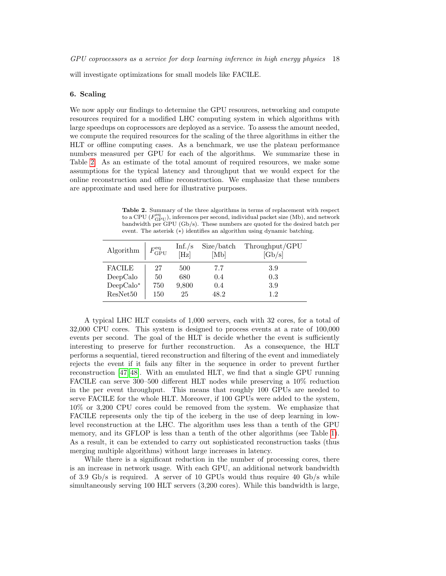will investigate optimizations for small models like FACILE.

### <span id="page-17-0"></span>6. Scaling

We now apply our findings to determine the GPU resources, networking and compute resources required for a modified LHC computing system in which algorithms with large speedups on coprocessors are deployed as a service. To assess the amount needed, we compute the required resources for the scaling of the three algorithms in either the HLT or offline computing cases. As a benchmark, we use the plateau performance numbers measured per GPU for each of the algorithms. We summarize these in Table [2.](#page-17-1) As an estimate of the total amount of required resources, we make some assumptions for the typical latency and throughput that we would expect for the online reconstruction and offline reconstruction. We emphasize that these numbers are approximate and used here for illustrative purposes.

<span id="page-17-1"></span>Table 2. Summary of the three algorithms in terms of replacement with respect to a CPU  $(F_{\mathrm{GPU}}^{\mathrm{eq}})$ , inferences per second, individual packet size (Mb), and network bandwidth per GPU (Gb/s). These numbers are quoted for the desired batch per event. The asterisk (∗) identifies an algorithm using dynamic batching.

| Algorithm     | $F_{\text{GPU}}^{\text{eq}}$ | Inf./s<br>[Hz] | Size/batch<br>[Mb] | Throughput/GPU<br>[Gb/s] |
|---------------|------------------------------|----------------|--------------------|--------------------------|
| <b>FACILE</b> | 27                           | 500            | 7.7                | 3.9                      |
| DeepCalc      | 50                           | 680            | 0.4                | 0.3                      |
| $DeepCalc^*$  | 750                          | 9,800          | 0.4                | 3.9                      |
| ResNet50      | 150                          | 25             | 48.2               | 1.2                      |

A typical LHC HLT consists of 1,000 servers, each with 32 cores, for a total of 32,000 CPU cores. This system is designed to process events at a rate of 100,000 events per second. The goal of the HLT is decide whether the event is sufficiently interesting to preserve for further reconstruction. As a consequence, the HLT performs a sequential, tiered reconstruction and filtering of the event and immediately rejects the event if it fails any filter in the sequence in order to prevent further reconstruction [\[47,](#page-22-7) [48\]](#page-22-8). With an emulated HLT, we find that a single GPU running FACILE can serve 300–500 different HLT nodes while preserving a 10% reduction in the per event throughput. This means that roughly 100 GPUs are needed to serve FACILE for the whole HLT. Moreover, if 100 GPUs were added to the system, 10% or 3,200 CPU cores could be removed from the system. We emphasize that FACILE represents only the tip of the iceberg in the use of deep learning in lowlevel reconstruction at the LHC. The algorithm uses less than a tenth of the GPU memory, and its GFLOP is less than a tenth of the other algorithms (see Table [1\)](#page-9-1). As a result, it can be extended to carry out sophisticated reconstruction tasks (thus merging multiple algorithms) without large increases in latency.

While there is a significant reduction in the number of processing cores, there is an increase in network usage. With each GPU, an additional network bandwidth of 3.9 Gb/s is required. A server of 10 GPUs would thus require 40 Gb/s while simultaneously serving 100 HLT servers (3,200 cores). While this bandwidth is large,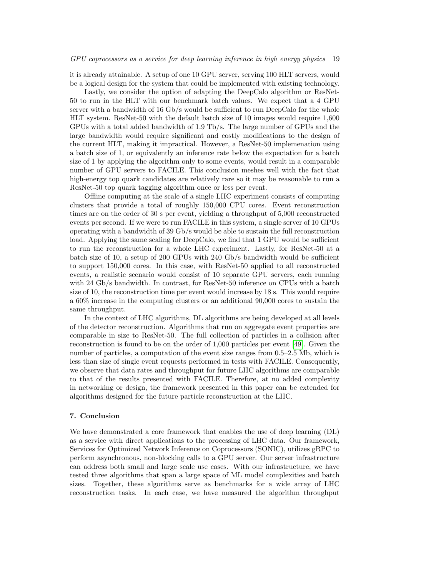it is already attainable. A setup of one 10 GPU server, serving 100 HLT servers, would be a logical design for the system that could be implemented with existing technology.

Lastly, we consider the option of adapting the DeepCalo algorithm or ResNet-50 to run in the HLT with our benchmark batch values. We expect that a 4 GPU server with a bandwidth of 16 Gb/s would be sufficient to run DeepCalo for the whole HLT system. ResNet-50 with the default batch size of 10 images would require 1,600 GPUs with a total added bandwidth of 1.9 Tb/s. The large number of GPUs and the large bandwidth would require significant and costly modifications to the design of the current HLT, making it impractical. However, a ResNet-50 implemenation using a batch size of 1, or equivalently an inference rate below the expectation for a batch size of 1 by applying the algorithm only to some events, would result in a comparable number of GPU servers to FACILE. This conclusion meshes well with the fact that high-energy top quark candidates are relatively rare so it may be reasonable to run a ResNet-50 top quark tagging algorithm once or less per event.

Offline computing at the scale of a single LHC experiment consists of computing clusters that provide a total of roughly 150,000 CPU cores. Event reconstruction times are on the order of 30 s per event, yielding a throughput of 5,000 reconstructed events per second. If we were to run FACILE in this system, a single server of 10 GPUs operating with a bandwidth of 39 Gb/s would be able to sustain the full reconstruction load. Applying the same scaling for DeepCalo, we find that 1 GPU would be sufficient to run the reconstruction for a whole LHC experiment. Lastly, for ResNet-50 at a batch size of 10, a setup of 200 GPUs with 240 Gb/s bandwidth would be sufficient to support 150,000 cores. In this case, with ResNet-50 applied to all reconstructed events, a realistic scenario would consist of 10 separate GPU servers, each running with 24 Gb/s bandwidth. In contrast, for ResNet-50 inference on CPUs with a batch size of 10, the reconstruction time per event would increase by 18 s. This would require a 60% increase in the computing clusters or an additional 90,000 cores to sustain the same throughput.

In the context of LHC algorithms, DL algorithms are being developed at all levels of the detector reconstruction. Algorithms that run on aggregate event properties are comparable in size to ResNet-50. The full collection of particles in a collision after reconstruction is found to be on the order of 1,000 particles per event [\[49\]](#page-22-9). Given the number of particles, a computation of the event size ranges from 0.5–2.5 Mb, which is less than size of single event requests performed in tests with FACILE. Consequently, we observe that data rates and throughput for future LHC algorithms are comparable to that of the results presented with FACILE. Therefore, at no added complexity in networking or design, the framework presented in this paper can be extended for algorithms designed for the future particle reconstruction at the LHC.

## <span id="page-18-0"></span>7. Conclusion

We have demonstrated a core framework that enables the use of deep learning (DL) as a service with direct applications to the processing of LHC data. Our framework, Services for Optimized Network Inference on Coprocessors (SONIC), utilizes gRPC to perform asynchronous, non-blocking calls to a GPU server. Our server infrastructure can address both small and large scale use cases. With our infrastructure, we have tested three algorithms that span a large space of ML model complexities and batch sizes. Together, these algorithms serve as benchmarks for a wide array of LHC reconstruction tasks. In each case, we have measured the algorithm throughput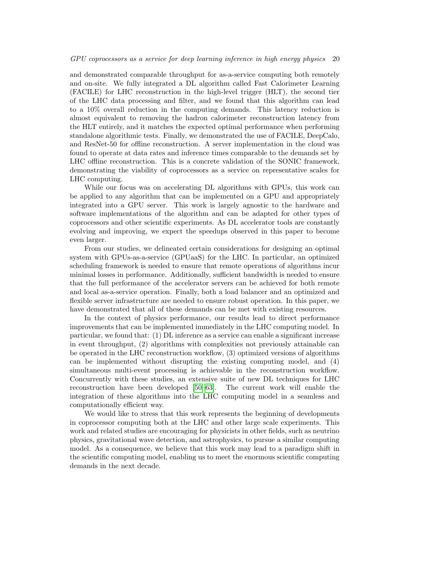and demonstrated comparable throughput for as-a-service computing both remotely and on-site. We fully integrated a DL algorithm called Fast Calorimeter Learning (FACILE) for LHC reconstruction in the high-level trigger (HLT), the second tier of the LHC data processing and filter, and we found that this algorithm can lead to a 10% overall reduction in the computing demands. This latency reduction is almost equivalent to removing the hadron calorimeter reconstruction latency from the HLT entirely, and it matches the expected optimal performance when performing standalone algorithmic tests. Finally, we demonstrated the use of FACILE, DeepCalo, and ResNet-50 for offline reconstruction. A server implementation in the cloud was found to operate at data rates and inference times comparable to the demands set by LHC offline reconstruction. This is a concrete validation of the SONIC framework, demonstrating the viability of coprocessors as a service on representative scales for LHC computing.

While our focus was on accelerating DL algorithms with GPUs, this work can be applied to any algorithm that can be implemented on a GPU and appropriately integrated into a GPU server. This work is largely agnostic to the hardware and software implementations of the algorithm and can be adapted for other types of coprocessors and other scientific experiments. As DL accelerator tools are constantly evolving and improving, we expect the speedups observed in this paper to become even larger.

From our studies, we delineated certain considerations for designing an optimal system with GPUs-as-a-service (GPUaaS) for the LHC. In particular, an optimized scheduling framework is needed to ensure that remote operations of algorithms incur minimal losses in performance. Additionally, sufficient bandwidth is needed to ensure that the full performance of the accelerator servers can be achieved for both remote and local as-a-service operation. Finally, both a load balancer and an optimized and flexible server infrastructure are needed to ensure robust operation. In this paper, we have demonstrated that all of these demands can be met with existing resources.

In the context of physics performance, our results lead to direct performance improvements that can be implemented immediately in the LHC computing model. In particular, we found that: (1) DL inference as a service can enable a significant increase in event throughput, (2) algorithms with complexities not previously attainable can be operated in the LHC reconstruction workflow, (3) optimized versions of algorithms can be implemented without disrupting the existing computing model, and (4) simultaneous multi-event processing is achievable in the reconstruction workflow. Concurrently with these studies, an extensive suite of new DL techniques for LHC reconstruction have been developed [\[50](#page-22-10)[–63\]](#page-22-11). The current work will enable the integration of these algorithms into the LHC computing model in a seamless and computationally efficient way.

We would like to stress that this work represents the beginning of developments in coprocessor computing both at the LHC and other large scale experiments. This work and related studies are encouraging for physicists in other fields, such as neutrino physics, gravitational wave detection, and astrophysics, to pursue a similar computing model. As a consequence, we believe that this work may lead to a paradigm shift in the scientific computing model, enabling us to meet the enormous scientific computing demands in the next decade.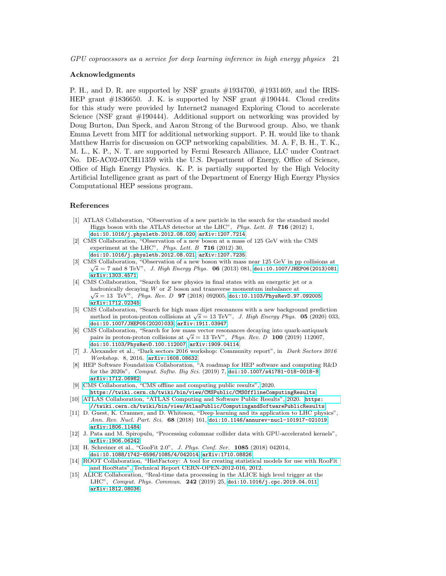GPU coprocessors as a service for deep learning inference in high energy physics 21

### Acknowledgments

P. H., and D. R. are supported by NSF grants #1934700, #1931469, and the IRIS-HEP grant #1836650. J. K. is supported by NSF grant #190444. Cloud credits for this study were provided by Internet2 managed Exploring Cloud to accelerate Science (NSF grant #190444). Additional support on networking was provided by Doug Burton, Dan Speck, and Aaron Strong of the Burwood group. Also, we thank Emma Levett from MIT for additional networking support. P. H. would like to thank Matthew Harris for discussion on GCP networking capabilities. M. A. F, B. H., T. K., M. L., K. P., N. T. are supported by Fermi Research Alliance, LLC under Contract No. DE-AC02-07CH11359 with the U.S. Department of Energy, Office of Science, Office of High Energy Physics. K. P. is partially supported by the High Velocity Artificial Intelligence grant as part of the Department of Energy High Energy Physics Computational HEP sessions program.

## References

- <span id="page-20-0"></span>[1] ATLAS Collaboration, "Observation of a new particle in the search for the standard model Higgs boson with the ATLAS detector at the LHC",  $Phys. Lett. B$  716 (2012) 1, [doi:10.1016/j.physletb.2012.08.020](http://dx.doi.org/10.1016/j.physletb.2012.08.020), [arXiv:1207.7214](http://www.arXiv.org/abs/1207.7214).
- [2] CMS Collaboration, "Observation of a new boson at a mass of 125 GeV with the CMS experiment at the LHC", Phys. Lett.  $B$  716 (2012) 30, [doi:10.1016/j.physletb.2012.08.021](http://dx.doi.org/10.1016/j.physletb.2012.08.021), [arXiv:1207.7235](http://www.arXiv.org/abs/1207.7235).
- <span id="page-20-1"></span>[3] CMS Collaboration, "Observation of a new boson with mass near 125 GeV in pp collisions at  $\sqrt{s} = 7$  and 8 TeV", *J. High Energy Phys.* **06** (2013) 081, [doi:10.1007/JHEP06\(2013\)081](http://dx.doi.org/10.1007/JHEP06(2013)081), [arXiv:1303.4571](http://www.arXiv.org/abs/1303.4571).
- <span id="page-20-2"></span>[4] CMS Collaboration, "Search for new physics in final states with an energetic jet or a hadronically decaying W or Z boson and transverse momentum imbalance at  $\overline{C}$  at  $\overline{C}$  at  $\overline{C}$  at  $\overline{C}$  at  $\overline{C}$  at  $\overline{C}$  at  $\overline{C}$  at  $\overline{C}$  at  $\overline{C}$  at  $\overline{C}$  at  $\overline{C}$  at  $\overline{C}$  at  $\overline{$  $\sqrt{s} = 13$  TeV", Phys. Rev. D 97 (2018) 092005, [doi:10.1103/PhysRevD.97.092005](http://dx.doi.org/10.1103/PhysRevD.97.092005), [arXiv:1712.02345](http://www.arXiv.org/abs/1712.02345).
- [5] CMS Collaboration, "Search for high mass dijet resonances with a new background prediction  $\pi$  conaboration, search for high mass differ resonances with a new background prediction<br>method in proton-proton collisions at  $\sqrt{s} = 13$  TeV", *J. High Energy Phys.* **05** (2020) 033, [doi:10.1007/JHEP05\(2020\)033](http://dx.doi.org/10.1007/JHEP05(2020)033), [arXiv:1911.03947](http://www.arXiv.org/abs/1911.03947).
- <span id="page-20-3"></span>[6] CMS Collaboration, "Search for low mass vector resonances decaying into quark-antiquark  $p_{\text{max}}$  conaboration, beatch for low mass vector resonances decaying mto quark-antiqual pairs in proton-proton collisions at  $\sqrt{s} = 13 \text{ TeV}^n$ , *Phys. Rev. D* 100 (2019) 112007, [doi:10.1103/PhysRevD.100.112007](http://dx.doi.org/10.1103/PhysRevD.100.112007), [arXiv:1909.04114](http://www.arXiv.org/abs/1909.04114).
- <span id="page-20-4"></span>[7] J. Alexander et al., "Dark sectors 2016 workshop: Community report", in Dark Sectors 2016 Workshop. 8, 2016. [arXiv:1608.08632](http://www.arXiv.org/abs/1608.08632).
- <span id="page-20-6"></span>[8] HEP Software Foundation Collaboration, "A roadmap for HEP software and computing R&D for the 2020s", Comput. Softw. Big Sci. (2019) 7, [doi:10.1007/s41781-018-0018-8](http://dx.doi.org/10.1007/s41781-018-0018-8), [arXiv:1712.06982](http://www.arXiv.org/abs/1712.06982).
- [9] [CMS Collaboration, "CMS offline and computing public results",](https://twiki.cern.ch/twiki/bin/view/CMSPublic/CMSOfflineComputingResults) 2020. <https://twiki.cern.ch/twiki/bin/view/CMSPublic/CMSOfflineComputingResults>.
- <span id="page-20-7"></span>[10] [ATLAS Collaboration, "ATLAS Computing and Software Public Results",](https://twiki.cern.ch/twiki/bin/view/AtlasPublic/ComputingandSoftwarePublicResults) 2020. [https:](https://twiki.cern.ch/twiki/bin/view/AtlasPublic/ComputingandSoftwarePublicResults) [//twiki.cern.ch/twiki/bin/view/AtlasPublic/ComputingandSoftwarePublicResults](https://twiki.cern.ch/twiki/bin/view/AtlasPublic/ComputingandSoftwarePublicResults).
- <span id="page-20-5"></span>[11] D. Guest, K. Cranmer, and D. Whiteson, "Deep learning and its application to LHC physics", Ann. Rev. Nucl. Part. Sci. 68 (2018) 161, [doi:10.1146/annurev-nucl-101917-021019](http://dx.doi.org/10.1146/annurev-nucl-101917-021019), [arXiv:1806.11484](http://www.arXiv.org/abs/1806.11484).
- <span id="page-20-8"></span>[12] J. Pata and M. Spiropulu, "Processing columnar collider data with GPU-accelerated kernels", [arXiv:1906.06242](http://www.arXiv.org/abs/1906.06242).
- <span id="page-20-9"></span>[13] H. Schreiner et al., "GooFit 2.0", J. Phys. Conf. Ser. 1085 (2018) 042014, [doi:10.1088/1742-6596/1085/4/042014](http://dx.doi.org/10.1088/1742-6596/1085/4/042014), [arXiv:1710.08826](http://www.arXiv.org/abs/1710.08826).
- <span id="page-20-10"></span>[14] [ROOT Collaboration, "HistFactory: A tool for creating statistical models for use with RooFit](https://cds.cern.ch/record/1456844) [and RooStats",](https://cds.cern.ch/record/1456844) Technical Report CERN-OPEN-2012-016, 2012.
- <span id="page-20-11"></span>[15] ALICE Collaboration, "Real-time data processing in the ALICE high level trigger at the LHC", Comput. Phys. Commun. 242 (2019) 25, [doi:10.1016/j.cpc.2019.04.011](http://dx.doi.org/10.1016/j.cpc.2019.04.011), [arXiv:1812.08036](http://www.arXiv.org/abs/1812.08036).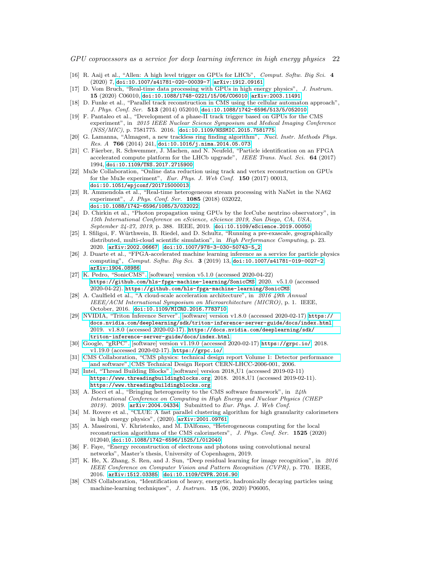- <span id="page-21-0"></span>[16] R. Aaij et al., "Allen: A high level trigger on GPUs for LHCb", Comput. Softw. Big Sci. 4 (2020) 7, [doi:10.1007/s41781-020-00039-7](http://dx.doi.org/10.1007/s41781-020-00039-7), [arXiv:1912.09161](http://www.arXiv.org/abs/1912.09161).
- <span id="page-21-1"></span>[17] D. Vom Bruch, "Real-time data processing with GPUs in high energy physics", J. Instrum. 15 (2020) C06010, [doi:10.1088/1748-0221/15/06/C06010](http://dx.doi.org/10.1088/1748-0221/15/06/C06010), [arXiv:2003.11491](http://www.arXiv.org/abs/2003.11491).
- <span id="page-21-2"></span>[18] D. Funke et al., "Parallel track reconstruction in CMS using the cellular automaton approach", J. Phys. Conf. Ser. 513 (2014) 052010, [doi:10.1088/1742-6596/513/5/052010](http://dx.doi.org/10.1088/1742-6596/513/5/052010).
- <span id="page-21-3"></span>[19] F. Pantaleo et al., "Development of a phase-II track trigger based on GPUs for the CMS experiment", in 2015 IEEE Nuclear Science Symposium and Medical Imaging Conference (NSS/MIC), p. 7581775. 2016. [doi:10.1109/NSSMIC.2015.7581775](http://dx.doi.org/10.1109/NSSMIC.2015.7581775).
- <span id="page-21-4"></span>[20] G. Lamanna, "Almagest, a new trackless ring finding algorithm", Nucl. Instr. Methods Phys. Res. A  $766$  (2014) 241, [doi:10.1016/j.nima.2014.05.073](http://dx.doi.org/10.1016/j.nima.2014.05.073).
- <span id="page-21-5"></span>[21] C. Fäerber, R. Schwemmer, J. Machen, and N. Neufeld, "Particle identification on an FPGA accelerated compute platform for the LHCb upgrade", IEEE Trans. Nucl. Sci. 64 (2017) 1994, [doi:10.1109/TNS.2017.2715900](http://dx.doi.org/10.1109/TNS.2017.2715900).
- <span id="page-21-6"></span>[22] Mu3e Collaboration, "Online data reduction using track and vertex reconstruction on GPUs for the Mu3e experiment", Eur. Phys. J. Web Conf. 150 (2017) 00013, [doi:10.1051/epjconf/201715000013](http://dx.doi.org/10.1051/epjconf/201715000013).
- <span id="page-21-7"></span>[23] R. Ammendola et al., "Real-time heterogeneous stream processing with NaNet in the NA62 experiment", J. Phys. Conf. Ser. 1085 (2018) 032022, [doi:10.1088/1742-6596/1085/3/032022](http://dx.doi.org/10.1088/1742-6596/1085/3/032022).
- <span id="page-21-8"></span>[24] D. Chirkin et al., "Photon propagation using GPUs by the IceCube neutrino observatory", in 15th International Conference on eScience, eScience 2019, San Diego, CA, USA, September 24-27, 2019, p. 388. IEEE, 2019. [doi:10.1109/eScience.2019.00050](http://dx.doi.org/10.1109/eScience.2019.00050).
- <span id="page-21-9"></span>[25] I. Sfiligoi, F. Würthwein, B. Riedel, and D. Schultz, "Running a pre-exascale, geographically distributed, multi-cloud scientific simulation", in High Performance Computing, p. 23. 2020. [arXiv:2002.06667](http://www.arXiv.org/abs/2002.06667). [doi:10.1007/978-3-030-50743-5\\_2](http://dx.doi.org/10.1007/978-3-030-50743-5_2).
- <span id="page-21-10"></span>[26] J. Duarte et al., "FPGA-accelerated machine learning inference as a service for particle physics computing", Comput. Softw. Big Sci. 3 (2019) 13, [doi:10.1007/s41781-019-0027-2](http://dx.doi.org/10.1007/s41781-019-0027-2), [arXiv:1904.08986](http://www.arXiv.org/abs/1904.08986).
- <span id="page-21-11"></span>[27] [K. Pedro, "SonicCMS".](https://github.com/hls-fpga-machine-learning/SonicCMS) [software] version v5.1.0 (accessed 2020-04-22) <https://github.com/hls-fpga-machine-learning/SonicCMS>, 2020. v5.1.0 (accessed 2020-04-22). <https://github.com/hls-fpga-machine-learning/SonicCMS>.
- <span id="page-21-12"></span>[28] A. Caulfield et al., "A cloud-scale acceleration architecture", in 2016 49th Annual IEEE/ACM International Symposium on Microarchitecture (MICRO), p. 1. IEEE, October, 2016. [doi:10.1109/MICRO.2016.7783710](http://dx.doi.org/10.1109/MICRO.2016.7783710).
- <span id="page-21-13"></span>[29] [NVIDIA, "Triton Inference Server".](https://docs.nvidia.com/deeplearning/sdk/triton-inference-server-guide/docs/index.html) [software] version v1.8.0 (accessed 2020-02-17) [https://](https://docs.nvidia.com/deeplearning/sdk/triton-inference-server-guide/docs/index.html) [docs.nvidia.com/deeplearning/sdk/triton-inference-server-guide/docs/index.html](https://docs.nvidia.com/deeplearning/sdk/triton-inference-server-guide/docs/index.html), 2019. v1.8.0 (accessed 2020-02-17). [https://docs.nvidia.com/deeplearning/sdk/](https://docs.nvidia.com/deeplearning/sdk/triton-inference-server-guide/docs/index.html) [triton-inference-server-guide/docs/index.html](https://docs.nvidia.com/deeplearning/sdk/triton-inference-server-guide/docs/index.html).
- <span id="page-21-14"></span>[30] [Google, "gRPC".](https://grpc.io/) [software] version v1.19.0 (accessed 2020-02-17) <https://grpc.io/>, 2018. v1.19.0 (accessed 2020-02-17). <https://grpc.io/>.
- <span id="page-21-15"></span>[31] [CMS Collaboration, "CMS physics: technical design report Volume 1: Detector performance](http://cds.cern.ch/record/922757) [and software",](http://cds.cern.ch/record/922757) CMS Technical Design Report CERN-LHCC-2006-001, 2006.
- <span id="page-21-16"></span>[32] [Intel, "Thread Building Blocks".](https://www.threadingbuildingblocks.org) [software] version 2018 U1 (accessed 2019-02-11) <https://www.threadingbuildingblocks.org>, 2018. 2018 U1 (accessed 2019-02-11). <https://www.threadingbuildingblocks.org>.
- <span id="page-21-17"></span>[33] A. Bocci et al., "Bringing heterogeneity to the CMS software framework", in 24th International Conference on Computing in High Energy and Nuclear Physics (CHEP 2019). 2019. arXiv: 2004.04334. Submitted to Eur. Phys. J. Web Conf.
- <span id="page-21-18"></span>[34] M. Rovere et al., "CLUE: A fast parallel clustering algorithm for high granularity calorimeters in high energy physics", (2020). [arXiv:2001.09761](http://www.arXiv.org/abs/2001.09761).
- <span id="page-21-19"></span>[35] A. Massironi, V. Khristenko, and M. DAlfonso, "Heterogeneous computing for the local reconstruction algorithms of the CMS calorimeters", J. Phys. Conf. Ser. 1525 (2020) 012040, [doi:10.1088/1742-6596/1525/1/012040](http://dx.doi.org/10.1088/1742-6596/1525/1/012040).
- <span id="page-21-20"></span>[36] F. Faye, "Energy reconstruction of electrons and photons using convolutional neural networks", Master's thesis, University of Copenhagen, 2019.
- <span id="page-21-21"></span>[37] K. He, X. Zhang, S. Ren, and J. Sun, "Deep residual learning for image recognition", in 2016 IEEE Conference on Computer Vision and Pattern Recognition (CVPR), p. 770. IEEE, 2016. [arXiv:1512.03385](http://www.arXiv.org/abs/1512.03385). [doi:10.1109/CVPR.2016.90](http://dx.doi.org/10.1109/CVPR.2016.90).
- <span id="page-21-22"></span>[38] CMS Collaboration, "Identification of heavy, energetic, hadronically decaying particles using machine-learning techniques", J. Instrum. 15 (06, 2020) P06005,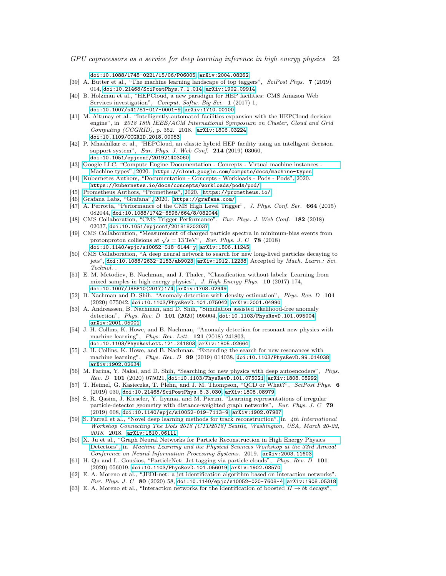[doi:10.1088/1748-0221/15/06/P06005](http://dx.doi.org/10.1088/1748-0221/15/06/P06005), [arXiv:2004.08262](http://www.arXiv.org/abs/2004.08262).

- <span id="page-22-0"></span>[39] A. Butter et al., "The machine learning landscape of top taggers", SciPost Phys. 7 (2019) 014, [doi:10.21468/SciPostPhys.7.1.014](http://dx.doi.org/10.21468/SciPostPhys.7.1.014), [arXiv:1902.09914](http://www.arXiv.org/abs/1902.09914).
- <span id="page-22-1"></span>[40] B. Holzman et al., "HEPCloud, a new paradigm for HEP facilities: CMS Amazon Web Services investigation", Comput. Softw. Big Sci. 1 (2017) 1, [doi:10.1007/s41781-017-0001-9](http://dx.doi.org/10.1007/s41781-017-0001-9), [arXiv:1710.00100](http://www.arXiv.org/abs/1710.00100).
- [41] M. Altunay et al., "Intelligently-automated facilities expansion with the HEPCloud decision engine", in 2018 18th IEEE/ACM International Symposium on Cluster, Cloud and Grid Computing (CCGRID), p. 352. 2018. [arXiv:1806.03224](http://www.arXiv.org/abs/1806.03224). [doi:10.1109/CCGRID.2018.00053](http://dx.doi.org/10.1109/CCGRID.2018.00053).
- <span id="page-22-2"></span>[42] P. Mhashilkar et al., "HEPCloud, an elastic hybrid HEP facility using an intelligent decision support system", Eur. Phys. J. Web Conf. 214 (2019) 03060, [doi:10.1051/epjconf/201921403060](http://dx.doi.org/10.1051/epjconf/201921403060).
- <span id="page-22-3"></span>[43] [Google LLC, "Compute Engine Documentation - Concepts - Virtual machine instances -](https://cloud.google.com/compute/docs/machine-types) [Machine types",](https://cloud.google.com/compute/docs/machine-types) 2020. <https://cloud.google.com/compute/docs/machine-types>.
- <span id="page-22-4"></span>[44] [Kubernetes Authors, "Documentation - Concepts - Workloads - Pods - Pods",](https://kubernetes.io/docs/concepts/workloads/pods/pod/) 2020. <https://kubernetes.io/docs/concepts/workloads/pods/pod/>.
- <span id="page-22-5"></span>[45] [Prometheus Authors, "Prometheus",](https://prometheus.io/) 2020. <https://prometheus.io/>.
- <span id="page-22-6"></span>[46] [Grafana Labs, "Grafana",](https://grafana.com/) 2020. <https://grafana.com/>.
- <span id="page-22-7"></span>[47] A. Perrotta, "Performance of the CMS High Level Trigger", J. Phys. Conf. Ser. 664 (2015) 082044, [doi:10.1088/1742-6596/664/8/082044](http://dx.doi.org/10.1088/1742-6596/664/8/082044).
- <span id="page-22-8"></span>[48] CMS Collaboration, "CMS Trigger Performance", Eur. Phys. J. Web Conf. 182 (2018) 02037, [doi:10.1051/epjconf/201818202037](http://dx.doi.org/10.1051/epjconf/201818202037).
- <span id="page-22-9"></span>[49] CMS Collaboration, "Measurement of charged particle spectra in minimum-bias events from  $\mu$ s Conaboration, measurement of charged particle spectra in minimit<br>protonproton collisions at  $\sqrt{s} = 13 \text{ TeV}^n$ , *Eur. Phys. J. C* **78** (2018) [doi:10.1140/epjc/s10052-018-6144-y](http://dx.doi.org/10.1140/epjc/s10052-018-6144-y), [arXiv:1806.11245](http://www.arXiv.org/abs/1806.11245).
- <span id="page-22-10"></span>[50] CMS Collaboration, "A deep neural network to search for new long-lived particles decaying to jets", [doi:10.1088/2632-2153/ab9023](http://dx.doi.org/10.1088/2632-2153/ab9023), [arXiv:1912.12238](http://www.arXiv.org/abs/1912.12238). Accepted by Mach. Learn.: Sci. Technol. .
- [51] E. M. Metodiev, B. Nachman, and J. Thaler, "Classification without labels: Learning from mixed samples in high energy physics", J. High Energy Phys. 10 (2017) 174, [doi:10.1007/JHEP10\(2017\)174](http://dx.doi.org/10.1007/JHEP10(2017)174), [arXiv:1708.02949](http://www.arXiv.org/abs/1708.02949).
- [52] B. Nachman and D. Shih, "Anomaly detection with density estimation", Phys. Rev. D 101 (2020) 075042, [doi:10.1103/PhysRevD.101.075042](http://dx.doi.org/10.1103/PhysRevD.101.075042), [arXiv:2001.04990](http://www.arXiv.org/abs/2001.04990).
- [53] A. Andreassen, B. Nachman, and D. Shih, "Simulation assisted likelihood-free anomaly detection", Phys. Rev. D 101 (2020) 095004, [doi:10.1103/PhysRevD.101.095004](http://dx.doi.org/10.1103/PhysRevD.101.095004), [arXiv:2001.05001](http://www.arXiv.org/abs/2001.05001).
- [54] J. H. Collins, K. Howe, and B. Nachman, "Anomaly detection for resonant new physics with machine learning", Phys. Rev. Lett. 121 (2018) 241803, [doi:10.1103/PhysRevLett.121.241803](http://dx.doi.org/10.1103/PhysRevLett.121.241803), [arXiv:1805.02664](http://www.arXiv.org/abs/1805.02664).
- [55] J. H. Collins, K. Howe, and B. Nachman, "Extending the search for new resonances with machine learning", Phys. Rev. D 99 (2019) 014038, [doi:10.1103/PhysRevD.99.014038](http://dx.doi.org/10.1103/PhysRevD.99.014038), [arXiv:1902.02634](http://www.arXiv.org/abs/1902.02634).
- [56] M. Farina, Y. Nakai, and D. Shih, "Searching for new physics with deep autoencoders", Phys. Rev. D 101 (2020) 075021, [doi:10.1103/PhysRevD.101.075021](http://dx.doi.org/10.1103/PhysRevD.101.075021), [arXiv:1808.08992](http://www.arXiv.org/abs/1808.08992).
- [57] T. Heimel, G. Kasieczka, T. Plehn, and J. M. Thompson, "QCD or What?", SciPost Phys. 6 (2019) 030, [doi:10.21468/SciPostPhys.6.3.030](http://dx.doi.org/10.21468/SciPostPhys.6.3.030), [arXiv:1808.08979](http://www.arXiv.org/abs/1808.08979).
- [58] S. R. Qasim, J. Kieseler, Y. Iiyama, and M. Pierini, "Learning representations of irregular particle-detector geometry with distance-weighted graph networks", Eur. Phys. J. C 79 (2019) 608, [doi:10.1140/epjc/s10052-019-7113-9](http://dx.doi.org/10.1140/epjc/s10052-019-7113-9), [arXiv:1902.07987](http://www.arXiv.org/abs/1902.07987).
- [59] [S. Farrell et al., "Novel deep learning methods for track reconstruction",](http://lss.fnal.gov/archive/2018/conf/fermilab-conf-18-598-cd.pdf) in 4th International Workshop Connecting The Dots 2018 (CTD2018) Seattle, Washington, USA, March 20-22, 2018. 2018. [arXiv:1810.06111](http://www.arXiv.org/abs/1810.06111).
- [60] [X. Ju et al., "Graph Neural Networks for Particle Reconstruction in High Energy Physics](https://ml4physicalsciences.github.io/files/NeurIPS_ML4PS_2019_83.pdf) [Detectors",](https://ml4physicalsciences.github.io/files/NeurIPS_ML4PS_2019_83.pdf) in Machine Learning and the Physical Sciences Workshop at the 33rd Annual Conference on Neural Information Processing Systems. 2019. [arXiv:2003.11603](http://www.arXiv.org/abs/2003.11603).
- [61] H. Qu and L. Gouskos, "ParticleNet: Jet tagging via particle clouds", Phys. Rev. D 101 (2020) 056019, [doi:10.1103/PhysRevD.101.056019](http://dx.doi.org/10.1103/PhysRevD.101.056019), [arXiv:1902.08570](http://www.arXiv.org/abs/1902.08570).
- [62] E. A. Moreno et al., "JEDI-net: a jet identification algorithm based on interaction networks", Eur. Phys. J. C 80 (2020) 58, [doi:10.1140/epjc/s10052-020-7608-4](http://dx.doi.org/10.1140/epjc/s10052-020-7608-4), [arXiv:1908.05318](http://www.arXiv.org/abs/1908.05318).
- <span id="page-22-11"></span>[63] E. A. Moreno et al., "Interaction networks for the identification of boosted  $H \to b\bar{b}$  decays",